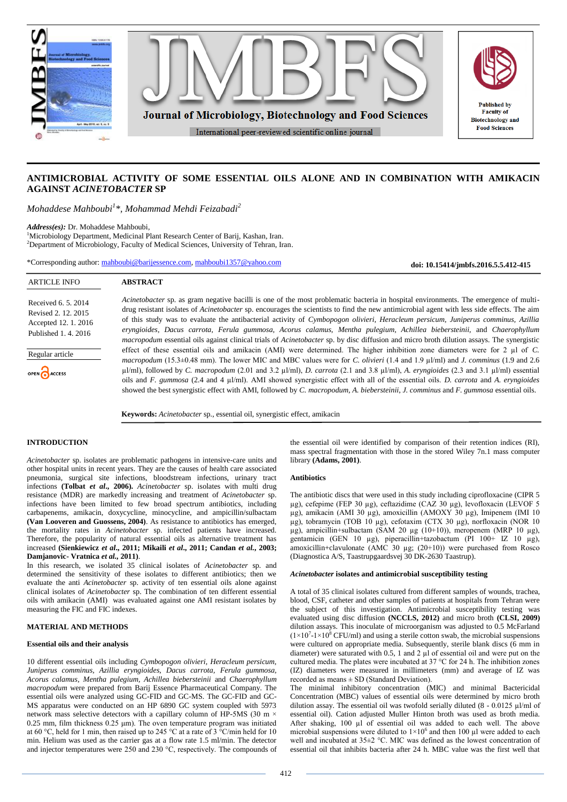

# **ANTIMICROBIAL ACTIVITY OF SOME ESSENTIAL OILS ALONE AND IN COMBINATION WITH AMIKACIN AGAINST** *ACINETOBACTER* **SP**

*Mohaddese Mahboubi<sup>1</sup> \*, Mohammad Mehdi Feizabadi<sup>2</sup>*

*Address(es):* Dr. Mohaddese Mahboubi,

<sup>1</sup>Microbiology Department, Medicinal Plant Research Center of Barij, Kashan, Iran. <sup>2</sup>Department of Microbiology, Faculty of Medical Sciences, University of Tehran, Iran.

\*Corresponding author: [mahboubi@barijessence.com,](mailto:mahboubi@barijessence.com) [mahboubi1357@yahoo.com](mailto:mahboubi1357@yahoo.com)

**doi: 10.15414/jmbfs.2016.5.5.412-415**

| <b>ARTICLE INFO</b>                                                                        | <b>ABSTRACT</b>                                                                                                                                                                                                                                                                                                                                                                                                                                                                                                                                                                                                                                                                                                                      |
|--------------------------------------------------------------------------------------------|--------------------------------------------------------------------------------------------------------------------------------------------------------------------------------------------------------------------------------------------------------------------------------------------------------------------------------------------------------------------------------------------------------------------------------------------------------------------------------------------------------------------------------------------------------------------------------------------------------------------------------------------------------------------------------------------------------------------------------------|
| Received 6, 5, 2014<br>Revised 2, 12, 2015<br>Accepted 12, 1, 2016<br>Published 1, 4, 2016 | Acinetobacter sp. as gram negative bacilli is one of the most problematic bacteria in hospital environments. The emergence of multi-<br>drug resistant isolates of Acinetobacter sp. encourages the scientists to find the new antimicrobial agent with less side effects. The aim<br>of this study was to evaluate the antibacterial activity of Cymbopogon olivieri, Heracleum persicum, Juniperus comminus, Azillia<br>eryngioides, Dacus carrota, Ferula gummosa, Acorus calamus, Mentha pulegium, Achillea biebersteinii, and Chaerophyllum<br><i>macropodum</i> essential oils against clinical trials of <i>Acinetobacter</i> sp. by disc diffusion and micro broth dilution assays. The synergistic                          |
| Regular article<br>OPEN ACCESS                                                             | effect of these essential oils and amikacin (AMI) were determined. The higher inhibition zone diameters were for 2 $\mu$ l of C.<br>macropodum (15.3 $\pm$ 0.48 mm). The lower MIC and MBC values were for C. <i>olivieri</i> (1.4 and 1.9 $\mu$ l/ml) and <i>J. comminus</i> (1.9 and 2.6<br>$\mu$ l/ml), followed by C. macropodum (2.01 and 3.2 $\mu$ l/ml), D. carrota (2.1 and 3.8 $\mu$ l/ml), A. eryngioides (2.3 and 3.1 $\mu$ l/ml) essential<br>oils and F. gummosa (2.4 and 4 µl/ml). AMI showed synergistic effect with all of the essential oils. D. carrota and A. eryngioides<br>showed the best synergistic effect with AMI, followed by C. macropodum, A. biebersteinii, J. comminus and F. gummosa essential oils. |

**Keywords:** *Acinetobacter* sp., essential oil, synergistic effect, amikacin

## **INTRODUCTION**

*Acinetobacter* sp. isolates are problematic pathogens in intensive-care units and other hospital units in recent years. They are the causes of health care associated pneumonia, surgical site infections, bloodstream infections, urinary tract infections **(Tolbat** *et al***., 2006).** *Acinetobacter* sp. isolates with multi drug resistance (MDR) are markedly increasing and treatment of *Acinetobacter* sp. infections have been limited to few broad spectrum antibiotics, including carbapenems, amikacin, doxycycline, minocycline, and ampicillin/sulbactam **(Van Looveren and Guossens, 2004)**. As resistance to antibiotics has emerged, the mortality rates in *Acinetobacter* sp. infected patients have increased. Therefore, the popularity of natural essential oils as alternative treatment has increased **(Sienkiewicz** *et al***., 2011; Mikaili** *et al***., 2011; Candan** *et al.***, 2003; Damjanovic- Vratnica** *et al.,* **2011)**.

In this research, we isolated 35 clinical isolates of *Acinetobacter* sp. and determined the sensitivity of these isolates to different antibiotics; then we evaluate the anti *Acinetobacter* sp. activity of ten essential oils alone against clinical isolates of *Acinetobacter* sp. The combination of ten different essential oils with amikacin (AMI) was evaluated against one AMI resistant isolates by measuring the FIC and FIC indexes.

## **MATERIAL AND METHODS**

## **Essential oils and their analysis**

10 different essential oils including *Cymbopogon olivieri, Heracleum persicum, Juniperus comminus, Azillia eryngioides, Dacus carrota, Ferula gummosa, Acorus calamus, Mentha pulegium, Achillea biebersteinii* and *Chaerophyllum macropodum* were prepared from Barij Essence Pharmaceutical Company. The essential oils were analyzed using GC-FID and GC-MS. The GC-FID and GC-MS apparatus were conducted on an HP 6890 GC system coupled with 5973 network mass selective detectors with a capillary column of HP-5MS (30 m  $\times$ 0.25 mm, film thickness 0.25 μm). The oven temperature program was initiated at 60 °C, held for 1 min, then raised up to 245 °C at a rate of 3 °C/min held for 10 min. Helium was used as the carrier gas at a flow rate 1.5 ml/min. The detector and injector temperatures were 250 and 230 °C, respectively. The compounds of the essential oil were identified by comparison of their retention indices (RI), mass spectral fragmentation with those in the stored Wiley 7n.1 mass computer library **(Adams, 2001)**.

#### **Antibiotics**

The antibiotic discs that were used in this study including ciprofloxacine (CIPR 5 µg), cefepime (FEP 30 µg), ceftazidime (CAZ 30 µg), levofloxacin (LEVOF 5 µg), amikacin (AMI 30 µg), amoxicillin (AMOXY 30 µg), Imipenem (IMI 10 µg), tobramycin (TOB 10 µg), cefotaxim (CTX 30 µg), norfloxacin (NOR 10  $\mu$ g), ampicillin+sulbactam (SAM 20  $\mu$ g (10+10)), meropenem (MRP 10  $\mu$ g), gentamicin (GEN 10 µg), piperacillin+tazobactum (PI 100+ IZ 10 µg), amoxicillin+clavulonate (AMC 30  $\mu$ g; (20+10)) were purchased from Rosco (Diagnostica A/S, Taastrupgaardsvej 30 DK-2630 Taastrup).

### *Acinetobacter* **isolates and antimicrobial susceptibility testing**

A total of 35 clinical isolates cultured from different samples of wounds, trachea, blood, CSF, catheter and other samples of patients at hospitals from Tehran were the subject of this investigation. Antimicrobial susceptibility testing was evaluated using disc diffusion **(NCCLS, 2012)** and micro broth **(CLSI, 2009)** dilution assays. This inoculate of microorganism was adjusted to 0.5 McFarland  $(1 \times 10^{7} - 1 \times 10^{8}$  CFU/ml) and using a sterile cotton swab, the microbial suspensions were cultured on appropriate media. Subsequently, sterile blank discs (6 mm in diameter) were saturated with 0.5, 1 and 2  $\mu$  of essential oil and were put on the cultured media. The plates were incubated at 37 °C for 24 h. The inhibition zones (IZ) diameters were measured in millimeters (mm) and average of IZ was recorded as means ± SD (Standard Deviation).

The minimal inhibitory concentration (MIC) and minimal Bactericidal Concentration (MBC) values of essential oils were determined by micro broth dilution assay. The essential oil was twofold serially diluted  $(8 - 0.0125 \mu)$ /ml of essential oil). Cation adjusted Muller Hinton broth was used as broth media. After shaking, 100 µl of essential oil was added to each well. The above microbial suspensions were diluted to  $1\times10^6$  and then 100 µl were added to each well and incubated at 35±2 °C. MIC was defined as the lowest concentration of essential oil that inhibits bacteria after 24 h. MBC value was the first well that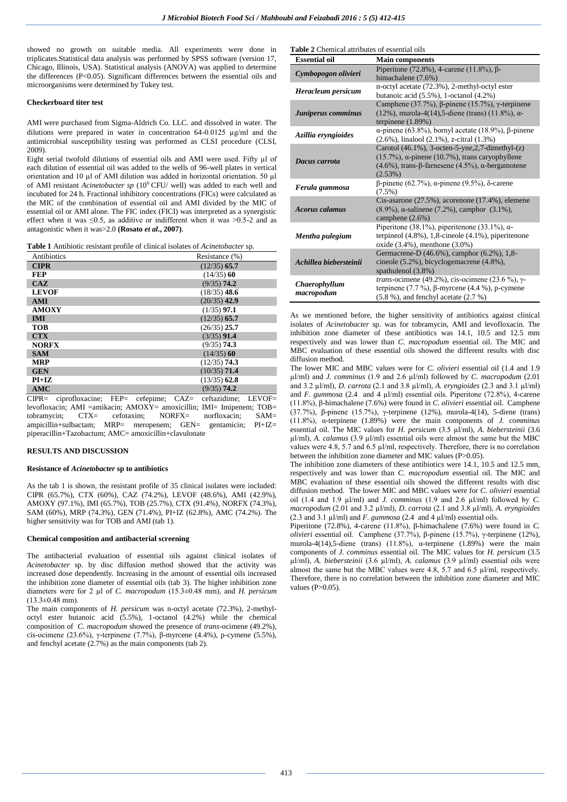showed no growth on suitable media. All experiments were done in triplicates.Statistical data analysis was performed by SPSS software (version 17, Chicago, Illinois, USA). Statistical analysis (ANOVA) was applied to determine the differences (P<0.05). Significant differences between the essential oils and microorganisms were determined by Tukey test.

## **Checkerboard titer test**

AMI were purchased from Sigma-Aldrich Co. LLC. and dissolved in water. The dilutions were prepared in water in concentration 64-0.0125 µg/ml and the antimicrobial susceptibility testing was performed as CLSI procedure (CLSI, 2009).

Eight serial twofold dilutions of essential oils and AMI were used. Fifty µl of each dilution of essential oil was added to the wells of 96-well plates in vertical orientation and 10 µl of AMI dilution was added in horizontal orientation. 50 µl of AMI resistant *Acinetobacter sp* (10<sup>6</sup> CFU/ well) was added to each well and incubated for 24 h. Fractional inhibitory concentrations (FICs) were calculated as the MIC of the combination of essential oil and AMI divided by the MIC of essential oil or AMI alone. The FIC index (FICI) was interpreted as a synergistic effect when it was  $\leq 0.5$ , as additive or indifferent when it was  $\geq 0.5$ -2 and as antagonistic when it was>2.0 **(Rosato** *et al***., 2007)**.

**Table 1** Antibiotic resistant profile of clinical isolates of *Acinetobacter* sp.

| Antibiotics  | Resistance (%) |
|--------------|----------------|
| <b>CIPR</b>  | $(12/35)$ 65.7 |
| <b>FEP</b>   | $(14/35)$ 60   |
| CAZ          | $(9/35)$ 74.2  |
| <b>LEVOF</b> | $(18/35)$ 48.6 |
| <b>AMI</b>   | $(20/35)$ 42.9 |
| <b>AMOXY</b> | $(1/35)$ 97.1  |
| <b>IMI</b>   | $(12/35)$ 65.7 |
| <b>TOB</b>   | $(26/35)$ 25.7 |
| <b>CTX</b>   | $(3/35)$ 91.4  |
| <b>NORFX</b> | $(9/35)$ 74.3  |
| <b>SAM</b>   | $(14/35)$ 60   |
| <b>MRP</b>   | $(12/35)$ 74.3 |
| <b>GEN</b>   | $(10/35)$ 71.4 |
| $PI+IZ$      | $(13/35)$ 62.8 |
| <b>AMC</b>   | $(9/35)$ 74.2  |

CIPR= ciprofloxacine; FEP= cefepime; CAZ= ceftazidime; LEVOF= levofloxacin; AMI =amikacin; AMOXY= amoxicillin; IMI= Imipenem; TOB= tobramycin; CTX= cefotaxim; NORFX= norfloxacin; SAM=<br>ampicillin+sulbactam; MRP= meropenem; GFN= gentamicin; PI+IZ= ampicillin+sulbactam; MRP= meropenem; GEN= gentamicin; piperacillin+Tazobactum; AMC= amoxicillin+clavulonate

#### **RESULTS AND DISCUSSION**

### **Resistance of** *Acinetobacter* **sp to antibiotics**

As the tab 1 is shown, the resistant profile of 35 clinical isolates were included: CIPR (65.7%), CTX (60%), CAZ (74.2%), LEVOF (48.6%), AMI (42.9%), AMOXY (97.1%), IMI (65.7%), TOB (25.7%), CTX (91.4%), NORFX (74.3%), SAM (60%), MRP (74.3%), GEN (71.4%), PI+IZ (62.8%), AMC (74.2%). The higher sensitivity was for TOB and AMI (tab 1).

#### **Chemical composition and antibacterial screening**

The antibacterial evaluation of essential oils against clinical isolates of *Acinetobacter* sp. by disc diffusion method showed that the activity was increased dose dependently. Increasing in the amount of essential oils increased the inhibition zone diameter of essential oils (tab 3). The higher inhibition zone diameters were for 2 µl of *C. macropodum* (15.3±0.48 mm), and *H. persicum*  $(13.3\pm0.48 \text{ mm})$ .

The main components of *H. persicum* was n-octyl acetate (72.3%), 2-methyloctyl ester butanoic acid (5.5%), 1-octanol (4.2%) while the chemical composition of *C. macropodum* showed the presence of *trans*-ocimene (49.2%), cis-ocimene (23.6%), γ-terpinene (7.7%), β-myrcene (4.4%), p-cymene (5.5%), and fenchyl acetate (2.7%) as the main components (tab 2).

**Table 2** Chemical attributes of essential oils

| <b>Essential oil</b>        | <b>Main components</b>                                                                                                                                                              |
|-----------------------------|-------------------------------------------------------------------------------------------------------------------------------------------------------------------------------------|
| Cymbopogon olivieri         | Piperitone (72.8%), 4-carene (11.8%), $\beta$ -<br>himachalene (7.6%)                                                                                                               |
| Heracleum persicum          | n-octyl acetate (72.3%), 2-methyl-octyl ester<br>butanoic acid $(5.5\%)$ , 1-octanol $(4.2\%)$                                                                                      |
| Juniperus comminus          | Camphene (37.7%), $\beta$ -pinene (15.7%), $\gamma$ -terpinene<br>(12%), murola-4(14), 5-diene (trans) (11.8%), $\alpha$ -<br>terpinene $(1.89%)$                                   |
| Azillia eryngioides         | $\alpha$ -pinene (63.8%), bornyl acetate (18.9%), $\beta$ -pinene<br>$(2.6\%)$ , linalool $(2.1\%)$ , z-citral $(1.3\%)$                                                            |
| Dacus carrota               | Carotol (46.1%), 3-octen-5-yne, 2, 7-dimethyl-(z)<br>$(15.7\%)$ , $\alpha$ -pinene (10.7%), trans caryophyllene<br>$(4.6%)$ , trans-β-farnesene $(4.5%)$ , α-bergamotene<br>(2.53%) |
| Ferula gummosa              | $\beta$ -pinene (62.7%), α-pinene (9.5%), δ-carene<br>$(7.5\%)$                                                                                                                     |
| <b>Acorus calamus</b>       | Cis-asarone $(27.5\%)$ , acorenone $(17.4\%)$ , elemene<br>$(8.9%)$ , α-salinene (7.2%), camphor (3.1%),<br>camphene $(2.6%)$                                                       |
| Mentha pulegium             | Piperitone (38.1%), piperitenone (33.1%), $\alpha$ -<br>terpineol (4.8%), 1,8-cineole (4.1%), piperitenone<br>oxide (3.4%), menthone (3.0%)                                         |
| Achillea hiebersteinii      | Germacrene-D (46.6%), camphor (6.2%), 1,8-<br>cineole (5.2%), bicyclogemacrene (4.8%),<br>spathulenol (3.8%)                                                                        |
| Chaerophyllum<br>macropodum | trans-ocimene (49.2%), cis-ocimene (23.6 %), $\gamma$ -<br>terpinene $(7.7\%)$ , $\beta$ -myrcene $(4.4\%)$ , p-cymene<br>$(5.8\%)$ , and fenchyl acetate $(2.7\%)$                 |

As we mentioned before, the higher sensitivity of antibiotics against clinical isolates of *Acinetobacter* sp. was for tobramycin, AMI and levofloxacin. The inhibition zone diameter of these antibiotics was 14.1, 10.5 and 12.5 mm respectively and was lower than *C. macropodum* essential oil. The MIC and MBC evaluation of these essential oils showed the different results with disc diffusion method.

The lower MIC and MBC values were for *C. olivieri* essential oil (1.4 and 1.9 µl/ml) and *J. comminus* (1.9 and 2.6 µl/ml) followed by *C. macropodum* (2.01 and 3.2 µl/ml), *D. carrota* (2.1 and 3.8 µl/ml), *A. eryngioides* (2.3 and 3.1 µl/ml) and *F. gummosa* (2.4 and 4  $\mu$ l/ml) essential oils. Piperitone (72.8%), 4-carene (11.8%), β-himachalene (7.6%) were found in *C. olivieri* essential oil. Camphene (37.7%), β-pinene (15.7%), γ-terpinene (12%), murola-4(14), 5-diene (trans) (11.8%), α-terpinene (1.89%) were the main components of *J. comminus*  essential oil. The MIC values for *H. persicum* (3.5 µl/ml), *A. biebersteinii* (3.6 µl/ml), *A. calamus* (3.9 µl/ml) essential oils were almost the same but the MBC values were 4.8, 5.7 and 6.5  $\mu$ /ml, respectively. Therefore, there is no correlation between the inhibition zone diameter and MIC values (P>0.05).

The inhibition zone diameters of these antibiotics were 14.1, 10.5 and 12.5 mm, respectively and was lower than *C. macropodum* essential oil. The MIC and MBC evaluation of these essential oils showed the different results with disc diffusion method. The lower MIC and MBC values were for *C. olivieri* essential oil (1.4 and 1.9 µl/ml) and *J. comminus* (1.9 and 2.6 µl/ml) followed by *C. macropodum* (2.01 and 3.2 µl/ml), *D. carrota* (2.1 and 3.8 µl/ml), *A. eryngioides* (2.3 and 3.1  $\mu$ l/ml) and *F. gummosa* (2.4 and 4  $\mu$ l/ml) essential oils.

Piperitone (72.8%), 4-carene (11.8%), β-himachalene (7.6%) were found in *C. olivieri* essential oil. Camphene (37.7%), β-pinene (15.7%), γ-terpinene (12%), murola-4(14),5-diene (trans) (11.8%), α-terpinene (1.89%) were the main components of *J. comminus* essential oil. The MIC values for *H. persicum* (3.5 µl/ml), *A. biebersteinii* (3.6 µl/ml), *A. calamus* (3.9 µl/ml) essential oils were almost the same but the MBC values were 4.8, 5.7 and 6.5  $\mu$ l/ml, respectively. Therefore, there is no correlation between the inhibition zone diameter and MIC values  $(P>0.05)$ .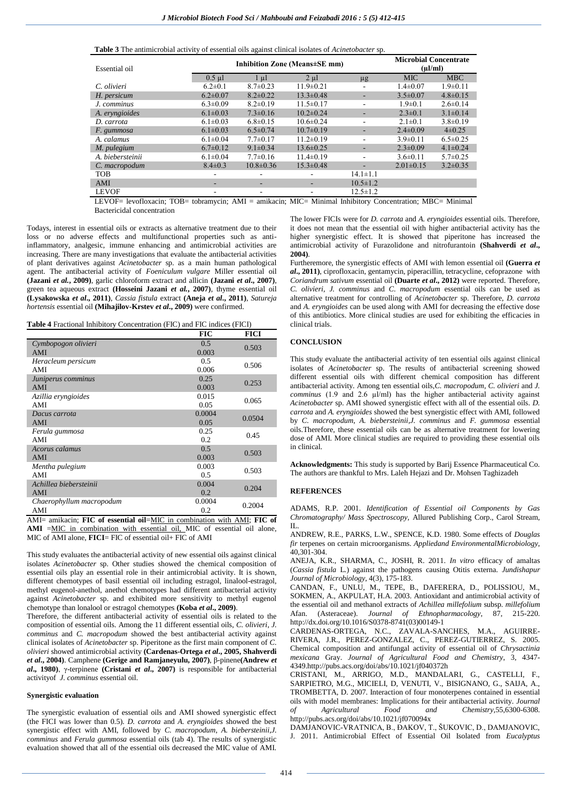**Table 3** The antimicrobial activity of essential oils against clinical isolates of *Acinetobacter* sp.

| Essential oil                                                                                             | Inhibition Zone (Means±SE mm) |                 |                 | <b>Microbial Concentrate</b><br>$(\mu l/ml)$ |                 |                |
|-----------------------------------------------------------------------------------------------------------|-------------------------------|-----------------|-----------------|----------------------------------------------|-----------------|----------------|
|                                                                                                           | $0.5$ µl                      | $1 \mu l$       | $2 \mu l$       | $\mu$ g                                      | <b>MIC</b>      | <b>MBC</b>     |
| C. olivieri                                                                                               | $6.2 \pm 0.1$                 | $8.7 \pm 0.23$  | $11.9 \pm 0.21$ |                                              | $1.4 \pm 0.07$  | $1.9 \pm 0.11$ |
| H. persicum                                                                                               | $6.2 \pm 0.07$                | $8.2 \pm 0.22$  | $13.3 \pm 0.48$ | ۰.                                           | $3.5 \pm 0.07$  | $4.8 \pm 0.15$ |
| J. comminus                                                                                               | $6.3 \pm 0.09$                | $8.2 \pm 0.19$  | $11.5 \pm 0.17$ |                                              | $1.9 \pm 0.1$   | $2.6 \pm 0.14$ |
| A. eryngioides                                                                                            | $6.1 \pm 0.03$                | $7.3 \pm 0.16$  | $10.2 \pm 0.24$ | ٠                                            | $2.3 \pm 0.1$   | $3.1 \pm 0.14$ |
| D. carrota                                                                                                | $6.1 \pm 0.03$                | $6.8 \pm 0.15$  | $10.6 \pm 0.24$ |                                              | $2.1 \pm 0.1$   | $3.8 \pm 0.19$ |
| F. gummosa                                                                                                | $6.1 \pm 0.03$                | $6.5 \pm 0.74$  | $10.7 \pm 0.19$ | $\overline{\phantom{a}}$                     | $2.4 \pm 0.09$  | $4\pm 0.25$    |
| A. calamus                                                                                                | $6.1 \pm 0.04$                | $7.7 \pm 0.17$  | $11.2 \pm 0.19$ |                                              | $3.9 \pm 0.11$  | $6.5 \pm 0.25$ |
| M. pulegium                                                                                               | $6.7 \pm 0.12$                | $9.1 \pm 0.34$  | $13.6 \pm 0.25$ | ٠                                            | $2.3 \pm 0.09$  | $4.1 \pm 0.24$ |
| A. biebersteinii                                                                                          | $6.1 \pm 0.04$                | $7.7 \pm 0.16$  | $11.4\pm0.19$   |                                              | $3.6 \pm 0.11$  | $5.7 \pm 0.25$ |
| C. macropodum                                                                                             | $8.4 \pm 0.3$                 | $10.8 \pm 0.36$ | $15.3 \pm 0.48$ | ٠                                            | $2.01 \pm 0.15$ | $3.2 \pm 0.35$ |
| <b>TOB</b>                                                                                                | -                             |                 |                 | $14.1 \pm 1.1$                               |                 |                |
| AMI                                                                                                       | -                             |                 |                 | $10.5 \pm 1.2$                               |                 |                |
| <b>LEVOF</b>                                                                                              |                               | ٠               |                 | $12.5 \pm 1.2$                               |                 |                |
| LEVOE- levoflovacin: TOB- tobramycin: AML - amikacin: MIC- Minimal Inhibitory Concentration: MBC- Minimal |                               |                 |                 |                                              |                 |                |

LEVOF= levofloxacin; TOB= tobramycin; AMI = amikacin; MIC= Minimal Inhibitory Concentration; MBC= Minimal Bactericidal concentration

Todays, interest in essential oils or extracts as alternative treatment due to their loss or no adverse effects and multifunctional properties such as antiinflammatory, analgesic, immune enhancing and antimicrobial activities are increasing. There are many investigations that evaluate the antibacterial activities of plant derivatives against *Acinetobacter* sp. as a main human pathological agent. The antibacterial activity of *Foeniculum vulgare* Miller essential oil **(Jazani** *et al.***, 2009)**, garlic chloroform extract and allicin **(Jazani** *et al***., 2007)**, green tea aqueous extract **(Hosseini Jazani** *et al.*, 2007), thyme essential oil **(Lysakowska** *et al***., 2011)**, *Cassia fistula* extract **(Aneja** *et al***., 2011)**, *Satureja hortensis* essential oil **(Mihajilov-Krstev** *et al***., 2009)** were confirmed.

**Table 4** Fractional Inhibitory Concentration (FIC) and FIC indices (FICI)

|                          | <b>FIC</b> | <b>FICI</b> |  |  |
|--------------------------|------------|-------------|--|--|
| Cymbopogon olivieri      | 0.5        | 0.503       |  |  |
| AMI                      | 0.003      |             |  |  |
| Heracleum persicum       | 0.5        | 0.506       |  |  |
| AMI                      | 0.006      |             |  |  |
| Juniperus comminus       | 0.25       | 0.253       |  |  |
| AMI                      | 0.003      |             |  |  |
| Azillia eryngioides      | 0.015      | 0.065       |  |  |
| AMI                      | 0.05       |             |  |  |
| Dacus carrota            | 0.0004     | 0.0504      |  |  |
| AMI                      | 0.05       |             |  |  |
| Ferula gummosa           | 0.25       | 0.45        |  |  |
| AMI                      | 0.2        |             |  |  |
| Acorus calamus           | 0.5        | 0.503       |  |  |
| AMI                      | 0.003      |             |  |  |
| Mentha pulegium          | 0.003      | 0.503       |  |  |
| AMI                      | 0.5        |             |  |  |
| Achillea biebersteinii   | 0.004      | 0.204       |  |  |
| AMI                      | 0.2        |             |  |  |
| Chaerophyllum macropodum | 0.0004     | 0.2004      |  |  |
| AMI                      | 0.2        |             |  |  |

AMI= amikacin; **FIC of essential oil**=MIC in combination with AMI; **FIC of AMI** =MIC in combination with essential oil, MIC of essential oil alone, MIC of AMI alone, **FICI**= FIC of essential oil+ FIC of AMI

This study evaluates the antibacterial activity of new essential oils against clinical isolates *Acinetobacter* sp. Other studies showed the chemical composition of essential oils play an essential role in their antimicrobial activity. It is shown, different chemotypes of basil essential oil including estragol, linalool-estragol, methyl eugenol-anethol, anethol chemotypes had different antibacterial activity against *Acinetobacter* sp. and exhibited more sensitivity to methyl eugenol chemotype than lonalool or estragol chemotypes **(Koba** *et al***., 2009)**.

Therefore, the different antibacterial activity of essential oils is related to the composition of essential oils. Among the 11 different essential oils, *C. olivieri*, *J. comminus* and *C. macropodum* showed the best antibacterial activity against clinical isolates of *Acinetobacter* sp. Piperitone as the first main component of *C. olivieri* showed antimicrobial activity **(Cardenas-Ortega** *et al***., 2005, Shahverdi**  *et al***., 2004)**. Camphene **(Gerige and Ramjaneyulu, 2007)**, β-pinene**(Andrew** *et al***., 1980)**, γ-terpinene **(Cristani** *et al***., 2007)** is responsible for antibacterial activityof *J. comminus* essential oil.

### **Synergistic evaluation**

The synergistic evaluation of essential oils and AMI showed synergistic effect (the FICI was lower than 0.5). *D. carrota* and *A. eryngioides* showed the best synergistic effect with AMI, followed by *C. macropodum*, *A. biebersteinii*,*J. comminus* and *Ferula gummosa* essential oils (tab 4). The results of synergistic evaluation showed that all of the essential oils decreased the MIC value of AMI. The lower FICIs were for *D. carrota* and *A. eryngioides* essential oils. Therefore, it does not mean that the essential oil with higher antibacterial activity has the higher synergistic effect. It is showed that piperitone has increased the antimicrobial activity of Furazolidone and nitrofurantoin **(Shahverdi** *et al***., 2004)**.

Furtheremore, the synergistic effects of AMI with lemon essential oil **(Guerra** *et al***., 2011)**, ciprofloxacin, gentamycin, piperacillin, tetracycline, cefoprazone with *Coriandrum sativum* essential oil **(Duarte** *et al***., 2012)** were reported. Therefore, *C. olivieri*, *J. comminus* and *C. macropodum* essential oils can be used as alternative treatment for controlling of *Acinetobacter* sp. Therefore, *D. carrota* and *A. eryngioides* can be used along with AMI for decreasing the effective dose of this antibiotics. More clinical studies are used for exhibiting the efficacies in clinical trials.

## **CONCLUSION**

This study evaluate the antibacterial activity of ten essential oils against clinical isolates of *Acinetobacter* sp. The results of antibacterial screening showed different essential oils with different chemical composition has different antibacterial activity. Among ten essential oils,*C. macropodum*, *C. olivieri* and *J. comminus* (1.9 and 2.6 µl/ml) has the higher antibacterial activity against *Acinetobacter* sp. AMI showed synergistic effect with all of the essential oils. *D. carrota* and *A. eryngioides* showed the best synergistic effect with AMI, followed by *C. macropodum*, *A. biebersteinii*,*J. comminus* and *F. gummosa* essential oils.Therefore, these essential oils can be as alternative treatment for lowering dose of AMI. More clinical studies are required to providing these essential oils in clinical.

**Acknowledgments:** This study is supported by Barij Essence Pharmaceutical Co. The authors are thankful to Mrs. Laleh Hejazi and Dr. Mohsen Taghizadeh

# **REFERENCES**

ADAMS, R.P. 2001. *Identification of Essential oil Components by Gas Chromatography/ Mass Spectroscopy,* Allured Publishing Corp., Carol Stream, IL.

ANDREW, R.E., PARKS, L.W., SPENCE, K.D. 1980. Some effects of *Douglas fir* terpenes on certain microorganisms. *Appliedand EnvironmentalMicrobiology*, 40,301-304.

ANEJA, K.R., SHARMA, C., JOSHI, R. 2011. *In vitro* efficacy of amaltas (*Cassia fistula* L*.*) against the pathogens causing Otitis externa. *Jundishapur Journal of Microbiology,* 4(3), 175-183.

CANDAN, F., UNLU, M., TEPE, B., DAFERERA, D., POLISSIOU, M., SOKMEN, A., AKPULAT, H.A. 2003. Antioxidant and antimicrobial activity of the essential oil and methanol extracts of *Achillea millefolium* subsp. *millefolium*  Afan. (Asteraceae). *Journal of Ethnopharmacology,* 87, 215-220. [http://dx.doi.org/10.1016/S0378-8741\(03\)00149-1](http://dx.doi.org/10.1016/S0378-8741(03)00149-1)

CARDENAS-ORTEGA, N.C., ZAVALA-SANCHES, M.A., AGUIRRE-RIVERA, J.R., PEREZ-GONZALEZ, C., PEREZ-GUTIERREZ, S. 2005. Chemical composition and antifungal activity of essential oil of *Chrysactinia mexicana* Gray. *Journal of Agricultural Food and Chemistry*, 3, 4347- 4349.http://pubs.acs.org/doi/abs/10.1021/jf040372h

CRISTANI, M., ARRIGO, M.D., MANDALARI, G., CASTELLI, F., SARPIETRO, M.G., MICIELI, D, VENUTI, [V.,](http://www.ncbi.nlm.nih.gov/pubmed?term=Venuti%20V%5BAuthor%5D&cauthor=true&cauthor_uid=17602646) [BISIGNANO, G.,](http://www.ncbi.nlm.nih.gov/pubmed?term=Bisignano%20G%5BAuthor%5D&cauthor=true&cauthor_uid=17602646) [SAIJA, A.](http://www.ncbi.nlm.nih.gov/pubmed?term=Saija%20A%5BAuthor%5D&cauthor=true&cauthor_uid=17602646), [TROMBETTA, D.](http://www.ncbi.nlm.nih.gov/pubmed?term=Trombetta%20D%5BAuthor%5D&cauthor=true&cauthor_uid=17602646) 2007. Interaction of four monoterpenes contained in essential oils with model membranes: Implications for their antibacterial activity. *Journal of Agricultural Food and Chemistry,*55,6300-6308. <http://pubs.acs.org/doi/abs/10.1021/jf070094x>

DAMJANOVIC-VRATNICA, B., ĐAKOV, T., ŠUKOVIC, D., DAMJANOVIC, J. 2011. Antimicrobial Effect of Essential Oil Isolated from *Eucalyptus*